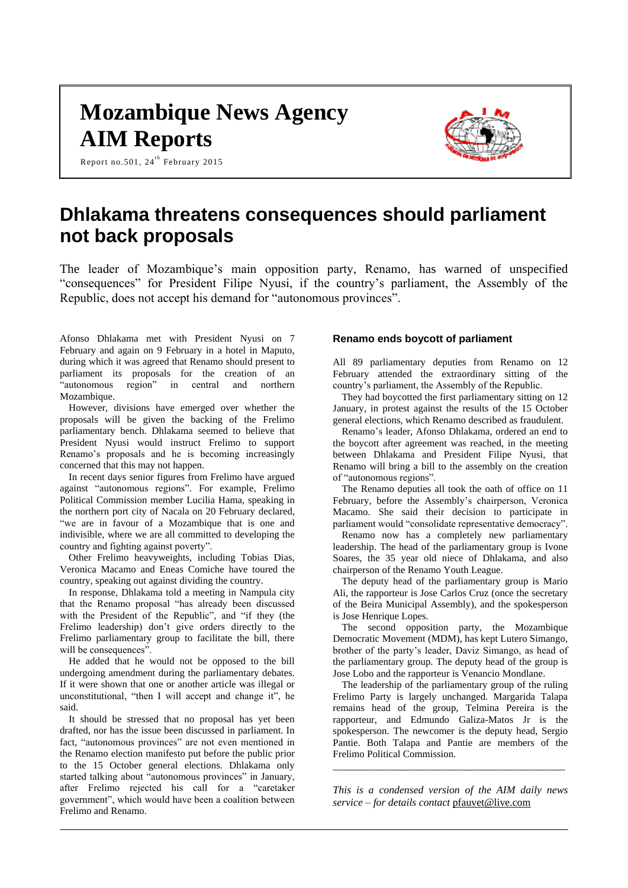# **Mozambique News Agency AIM Reports**

Report no.501, 24<sup>th</sup> February 2015



# **Dhlakama threatens consequences should parliament not back proposals**

The leader of Mozambique's main opposition party, Renamo, has warned of unspecified "consequences" for President Filipe Nyusi, if the country's parliament, the Assembly of the Republic, does not accept his demand for "autonomous provinces".

Afonso Dhlakama met with President Nyusi on 7 February and again on 9 February in a hotel in Maputo, during which it was agreed that Renamo should present to parliament its proposals for the creation of an "autonomous region" in central and northern Mozambique.

However, divisions have emerged over whether the proposals will be given the backing of the Frelimo parliamentary bench. Dhlakama seemed to believe that President Nyusi would instruct Frelimo to support Renamo's proposals and he is becoming increasingly concerned that this may not happen.

In recent days senior figures from Frelimo have argued against "autonomous regions". For example, Frelimo Political Commission member Lucilia Hama, speaking in the northern port city of Nacala on 20 February declared, "we are in favour of a Mozambique that is one and indivisible, where we are all committed to developing the country and fighting against poverty".

Other Frelimo heavyweights, including Tobias Dias, Veronica Macamo and Eneas Comiche have toured the country, speaking out against dividing the country.

In response, Dhlakama told a meeting in Nampula city that the Renamo proposal "has already been discussed with the President of the Republic", and "if they (the Frelimo leadership) don't give orders directly to the Frelimo parliamentary group to facilitate the bill, there will be consequences".

He added that he would not be opposed to the bill undergoing amendment during the parliamentary debates. If it were shown that one or another article was illegal or unconstitutional, "then I will accept and change it", he said.

It should be stressed that no proposal has yet been drafted, nor has the issue been discussed in parliament. In fact, "autonomous provinces" are not even mentioned in the Renamo election manifesto put before the public prior to the 15 October general elections. Dhlakama only started talking about "autonomous provinces" in January, after Frelimo rejected his call for a "caretaker government", which would have been a coalition between Frelimo and Renamo.

#### **Renamo ends boycott of parliament**

All 89 parliamentary deputies from Renamo on 12 February attended the extraordinary sitting of the country's parliament, the Assembly of the Republic.

They had boycotted the first parliamentary sitting on 12 January, in protest against the results of the 15 October general elections, which Renamo described as fraudulent.

Renamo's leader, Afonso Dhlakama, ordered an end to the boycott after agreement was reached, in the meeting between Dhlakama and President Filipe Nyusi, that Renamo will bring a bill to the assembly on the creation of "autonomous regions".

The Renamo deputies all took the oath of office on 11 February, before the Assembly's chairperson, Veronica Macamo. She said their decision to participate in parliament would "consolidate representative democracy".

Renamo now has a completely new parliamentary leadership. The head of the parliamentary group is Ivone Soares, the 35 year old niece of Dhlakama, and also chairperson of the Renamo Youth League.

The deputy head of the parliamentary group is Mario Ali, the rapporteur is Jose Carlos Cruz (once the secretary of the Beira Municipal Assembly), and the spokesperson is Jose Henrique Lopes.

The second opposition party, the Mozambique Democratic Movement (MDM), has kept Lutero Simango, brother of the party's leader, Daviz Simango, as head of the parliamentary group. The deputy head of the group is Jose Lobo and the rapporteur is Venancio Mondlane.

The leadership of the parliamentary group of the ruling Frelimo Party is largely unchanged. Margarida Talapa remains head of the group, Telmina Pereira is the rapporteur, and Edmundo Galiza-Matos Jr is the spokesperson. The newcomer is the deputy head, Sergio Pantie. Both Talapa and Pantie are members of the Frelimo Political Commission.

*This is a condensed version of the AIM daily news service – for details contact* [pfauvet@live.com](mailto:pfauvet@live.com)

*\_\_\_\_\_\_\_\_\_\_\_\_\_\_\_\_\_\_\_\_\_\_\_\_\_\_\_\_\_\_\_\_\_\_\_\_\_\_\_\_\_\_\_\_*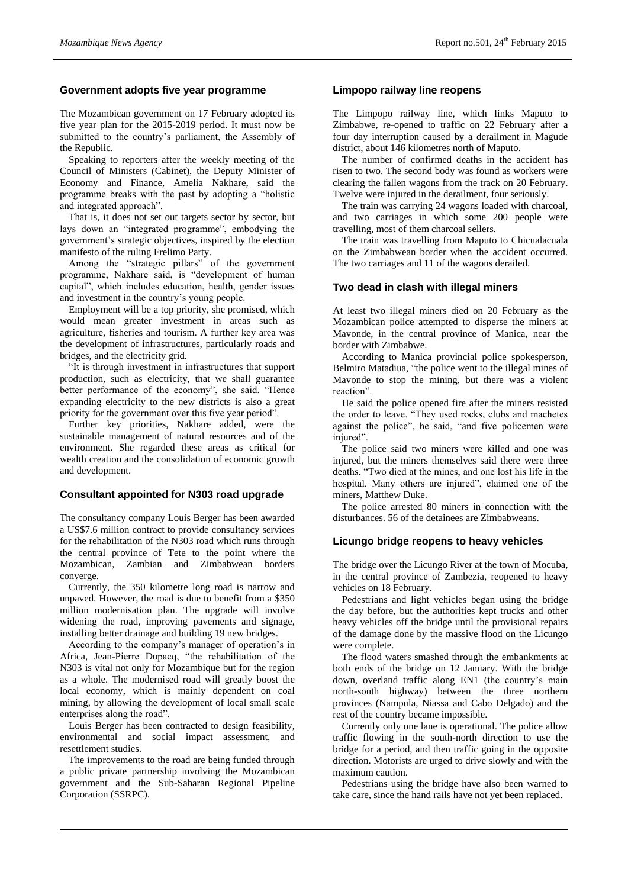#### **Government adopts five year programme**

The Mozambican government on 17 February adopted its five year plan for the 2015-2019 period. It must now be submitted to the country's parliament, the Assembly of the Republic.

Speaking to reporters after the weekly meeting of the Council of Ministers (Cabinet), the Deputy Minister of Economy and Finance, Amelia Nakhare, said the programme breaks with the past by adopting a "holistic and integrated approach".

That is, it does not set out targets sector by sector, but lays down an "integrated programme", embodying the government's strategic objectives, inspired by the election manifesto of the ruling Frelimo Party.

Among the "strategic pillars" of the government programme, Nakhare said, is "development of human capital", which includes education, health, gender issues and investment in the country's young people.

Employment will be a top priority, she promised, which would mean greater investment in areas such as agriculture, fisheries and tourism. A further key area was the development of infrastructures, particularly roads and bridges, and the electricity grid.

"It is through investment in infrastructures that support production, such as electricity, that we shall guarantee better performance of the economy", she said. "Hence expanding electricity to the new districts is also a great priority for the government over this five year period".

Further key priorities, Nakhare added, were the sustainable management of natural resources and of the environment. She regarded these areas as critical for wealth creation and the consolidation of economic growth and development.

#### **Consultant appointed for N303 road upgrade**

The consultancy company Louis Berger has been awarded a US\$7.6 million contract to provide consultancy services for the rehabilitation of the N303 road which runs through the central province of Tete to the point where the Mozambican, Zambian and Zimbabwean borders converge.

Currently, the 350 kilometre long road is narrow and unpaved. However, the road is due to benefit from a \$350 million modernisation plan. The upgrade will involve widening the road, improving pavements and signage, installing better drainage and building 19 new bridges.

According to the company's manager of operation's in Africa, Jean-Pierre Dupacq, "the rehabilitation of the N303 is vital not only for Mozambique but for the region as a whole. The modernised road will greatly boost the local economy, which is mainly dependent on coal mining, by allowing the development of local small scale enterprises along the road".

Louis Berger has been contracted to design feasibility, environmental and social impact assessment, and resettlement studies.

The improvements to the road are being funded through a public private partnership involving the Mozambican government and the Sub-Saharan Regional Pipeline Corporation (SSRPC).

#### **Limpopo railway line reopens**

The Limpopo railway line, which links Maputo to Zimbabwe, re-opened to traffic on 22 February after a four day interruption caused by a derailment in Magude district, about 146 kilometres north of Maputo.

The number of confirmed deaths in the accident has risen to two. The second body was found as workers were clearing the fallen wagons from the track on 20 February. Twelve were injured in the derailment, four seriously.

The train was carrying 24 wagons loaded with charcoal, and two carriages in which some 200 people were travelling, most of them charcoal sellers.

The train was travelling from Maputo to Chicualacuala on the Zimbabwean border when the accident occurred. The two carriages and 11 of the wagons derailed.

### **Two dead in clash with illegal miners**

At least two illegal miners died on 20 February as the Mozambican police attempted to disperse the miners at Mavonde, in the central province of Manica, near the border with Zimbabwe.

According to Manica provincial police spokesperson, Belmiro Matadiua, "the police went to the illegal mines of Mavonde to stop the mining, but there was a violent reaction".

He said the police opened fire after the miners resisted the order to leave. "They used rocks, clubs and machetes against the police", he said, "and five policemen were injured".

The police said two miners were killed and one was injured, but the miners themselves said there were three deaths. "Two died at the mines, and one lost his life in the hospital. Many others are injured", claimed one of the miners, Matthew Duke.

The police arrested 80 miners in connection with the disturbances. 56 of the detainees are Zimbabweans.

#### **Licungo bridge reopens to heavy vehicles**

The bridge over the Licungo River at the town of Mocuba, in the central province of Zambezia, reopened to heavy vehicles on 18 February.

Pedestrians and light vehicles began using the bridge the day before, but the authorities kept trucks and other heavy vehicles off the bridge until the provisional repairs of the damage done by the massive flood on the Licungo were complete.

The flood waters smashed through the embankments at both ends of the bridge on 12 January. With the bridge down, overland traffic along EN1 (the country's main north-south highway) between the three northern provinces (Nampula, Niassa and Cabo Delgado) and the rest of the country became impossible.

Currently only one lane is operational. The police allow traffic flowing in the south-north direction to use the bridge for a period, and then traffic going in the opposite direction. Motorists are urged to drive slowly and with the maximum caution.

Pedestrians using the bridge have also been warned to take care, since the hand rails have not yet been replaced.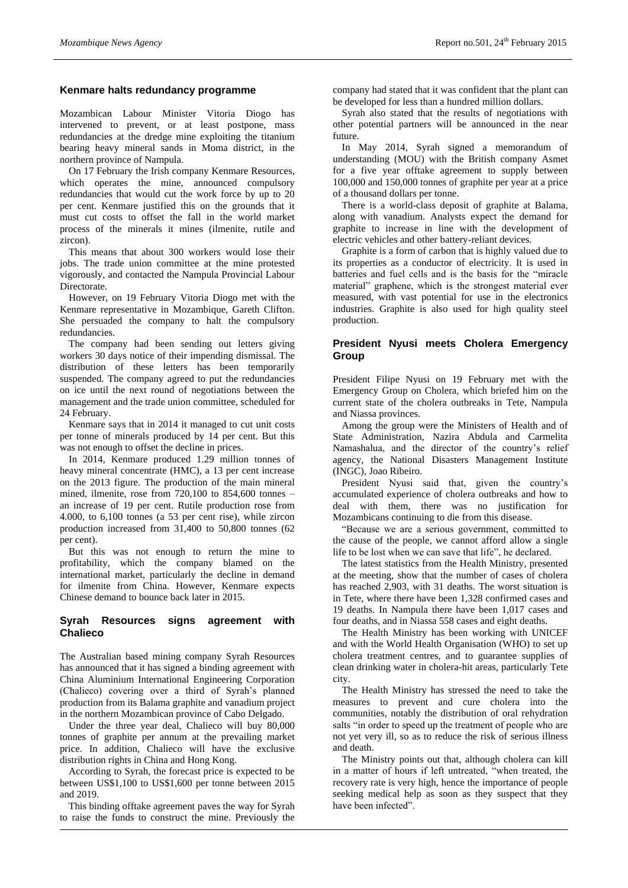#### **Kenmare halts redundancy programme**

Mozambican Labour Minister Vitoria Diogo has intervened to prevent, or at least postpone, mass redundancies at the dredge mine exploiting the titanium bearing heavy mineral sands in Moma district, in the northern province of Nampula.

On 17 February the Irish company Kenmare Resources, which operates the mine, announced compulsory redundancies that would cut the work force by up to 20 per cent. Kenmare justified this on the grounds that it must cut costs to offset the fall in the world market process of the minerals it mines (ilmenite, rutile and zircon).

This means that about 300 workers would lose their jobs. The trade union committee at the mine protested vigorously, and contacted the Nampula Provincial Labour Directorate.

However, on 19 February Vitoria Diogo met with the Kenmare representative in Mozambique, Gareth Clifton. She persuaded the company to halt the compulsory redundancies.

The company had been sending out letters giving workers 30 days notice of their impending dismissal. The distribution of these letters has been temporarily suspended. The company agreed to put the redundancies on ice until the next round of negotiations between the management and the trade union committee, scheduled for 24 February.

Kenmare says that in 2014 it managed to cut unit costs per tonne of minerals produced by 14 per cent. But this was not enough to offset the decline in prices.

In 2014, Kenmare produced 1.29 million tonnes of heavy mineral concentrate (HMC), a 13 per cent increase on the 2013 figure. The production of the main mineral mined, ilmenite, rose from 720,100 to 854,600 tonnes – an increase of 19 per cent. Rutile production rose from 4.000, to 6,100 tonnes (a 53 per cent rise), while zircon production increased from 31,400 to 50,800 tonnes (62 per cent).

But this was not enough to return the mine to profitability, which the company blamed on the international market, particularly the decline in demand for ilmenite from China. However, Kenmare expects Chinese demand to bounce back later in 2015.

#### **Syrah Resources signs agreement with Chalieco**

The Australian based mining company Syrah Resources has announced that it has signed a binding agreement with China Aluminium International Engineering Corporation (Chalieco) covering over a third of Syrah's planned production from its Balama graphite and vanadium project in the northern Mozambican province of Cabo Delgado.

Under the three year deal, Chalieco will buy 80,000 tonnes of graphite per annum at the prevailing market price. In addition, Chalieco will have the exclusive distribution rights in China and Hong Kong.

According to Syrah, the forecast price is expected to be between US\$1,100 to US\$1,600 per tonne between 2015 and 2019.

This binding offtake agreement paves the way for Syrah to raise the funds to construct the mine. Previously the

company had stated that it was confident that the plant can be developed for less than a hundred million dollars.

Syrah also stated that the results of negotiations with other potential partners will be announced in the near future.

In May 2014, Syrah signed a memorandum of understanding (MOU) with the British company Asmet for a five year offtake agreement to supply between 100,000 and 150,000 tonnes of graphite per year at a price of a thousand dollars per tonne.

There is a world-class deposit of graphite at Balama, along with vanadium. Analysts expect the demand for graphite to increase in line with the development of electric vehicles and other battery-reliant devices.

Graphite is a form of carbon that is highly valued due to its properties as a conductor of electricity. It is used in batteries and fuel cells and is the basis for the "miracle material" graphene, which is the strongest material ever measured, with vast potential for use in the electronics industries. Graphite is also used for high quality steel production.

# **President Nyusi meets Cholera Emergency Group**

President Filipe Nyusi on 19 February met with the Emergency Group on Cholera, which briefed him on the current state of the cholera outbreaks in Tete, Nampula and Niassa provinces.

Among the group were the Ministers of Health and of State Administration, Nazira Abdula and Carmelita Namashalua, and the director of the country's relief agency, the National Disasters Management Institute (INGC), Joao Ribeiro.

President Nyusi said that, given the country's accumulated experience of cholera outbreaks and how to deal with them, there was no justification for Mozambicans continuing to die from this disease.

"Because we are a serious government, committed to the cause of the people, we cannot afford allow a single life to be lost when we can save that life", he declared.

The latest statistics from the Health Ministry, presented at the meeting, show that the number of cases of cholera has reached 2,903, with 31 deaths. The worst situation is in Tete, where there have been 1,328 confirmed cases and 19 deaths. In Nampula there have been 1,017 cases and four deaths, and in Niassa 558 cases and eight deaths.

The Health Ministry has been working with UNICEF and with the World Health Organisation (WHO) to set up cholera treatment centres, and to guarantee supplies of clean drinking water in cholera-hit areas, particularly Tete city.

The Health Ministry has stressed the need to take the measures to prevent and cure cholera into the communities, notably the distribution of oral rehydration salts "in order to speed up the treatment of people who are not yet very ill, so as to reduce the risk of serious illness and death.

The Ministry points out that, although cholera can kill in a matter of hours if left untreated, "when treated, the recovery rate is very high, hence the importance of people seeking medical help as soon as they suspect that they have been infected".